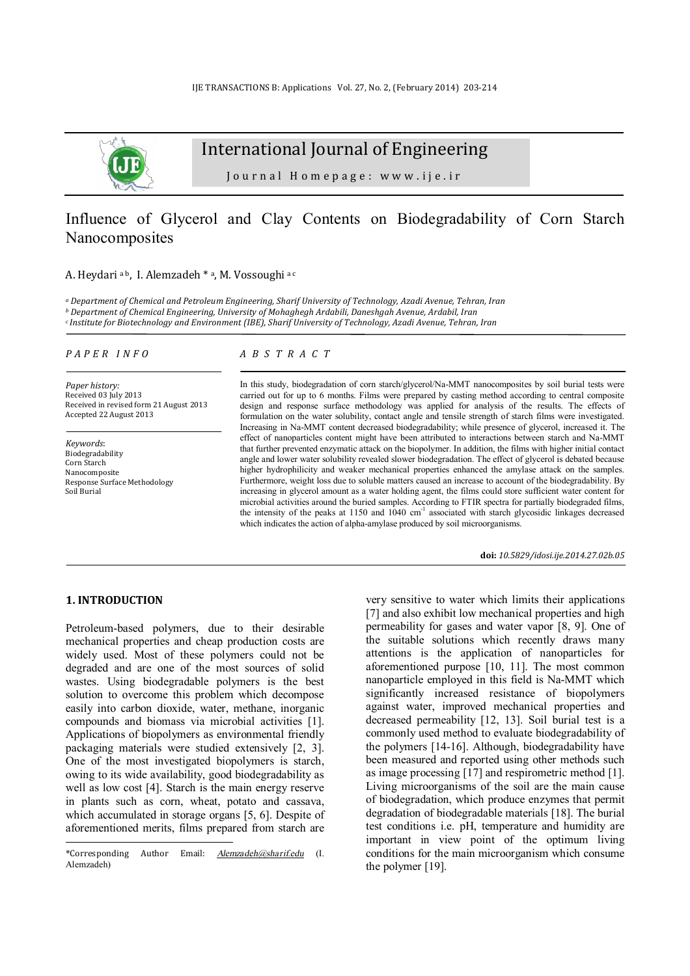

# International Journal of Engineering

Journal Homepage: www.ije.ir

## Influence of Glycerol and Clay Contents on Biodegradability of Corn Starch Nanocomposites

A. Heydari <sup>a b</sup>, I. Alemzadeh \* <sup>a</sup>, M. Vossoughi <sup>a c</sup>

*<sup>a</sup> Department of Chemical and Petroleum Engineering, Sharif University of Technology, Azadi Avenue, Tehran, Iran <sup>b</sup> Department of Chemical Engineering, University of Mohaghegh Ardabili, Daneshgah Avenue, Ardabil, Iran <sup>c</sup>Institute for Biotechnology and Environment (IBE), Sharif University of Technology, Azadi Avenue, Tehran, Iran* 

#### *P A P E R I N F O*

*Paper history:*  Received 03 July 2013 Received in revised form 21 August 2013 Accepted 22 August 2013

*Keywords*: Biodegradability Corn Starch Nanocomposite Response Surface Methodology Soil Burial

#### *A B S T R A C T*

In this study, biodegradation of corn starch/glycerol/Na-MMT nanocomposites by soil burial tests were carried out for up to 6 months. Films were prepared by casting method according to central composite design and response surface methodology was applied for analysis of the results. The effects of formulation on the water solubility, contact angle and tensile strength of starch films were investigated. Increasing in Na-MMT content decreased biodegradability; while presence of glycerol, increased it. The effect of nanoparticles content might have been attributed to interactions between starch and Na-MMT that further prevented enzymatic attack on the biopolymer. In addition, the films with higher initial contact angle and lower water solubility revealed slower biodegradation. The effect of glycerol is debated because higher hydrophilicity and weaker mechanical properties enhanced the amylase attack on the samples. Furthermore, weight loss due to soluble matters caused an increase to account of the biodegradability. By increasing in glycerol amount as a water holding agent, the films could store sufficient water content for microbial activities around the buried samples. According to FTIR spectra for partially biodegraded films, the intensity of the peaks at 1150 and 1040 cm<sup>-1</sup> associated with starch glycosidic linkages decreased which indicates the action of alpha-amylase produced by soil microorganisms.

**doi:** *10.5829/idosi.ije.2014.27.02b.05*

### **1. INTRODUCTION<sup>1</sup>**

l

Petroleum-based polymers, due to their desirable mechanical properties and cheap production costs are widely used. Most of these polymers could not be degraded and are one of the most sources of solid wastes. Using biodegradable polymers is the best solution to overcome this problem which decompose easily into carbon dioxide, water, methane, inorganic compounds and biomass via microbial activities [1]. Applications of biopolymers as environmental friendly packaging materials were studied extensively [2, 3]. One of the most investigated biopolymers is starch, owing to its wide availability, good biodegradability as well as low cost [4]. Starch is the main energy reserve in plants such as corn, wheat, potato and cassava, which accumulated in storage organs [5, 6]. Despite of aforementioned merits, films prepared from starch are very sensitive to water which limits their applications [7] and also exhibit low mechanical properties and high permeability for gases and water vapor [8, 9]. One of the suitable solutions which recently draws many attentions is the application of nanoparticles for aforementioned purpose [10, 11]. The most common nanoparticle employed in this field is Na-MMT which significantly increased resistance of biopolymers against water, improved mechanical properties and decreased permeability [12, 13]. Soil burial test is a commonly used method to evaluate biodegradability of the polymers [14-16]. Although, biodegradability have been measured and reported using other methods such as image processing [17] and respirometric method [1]. Living microorganisms of the soil are the main cause of biodegradation, which produce enzymes that permit degradation of biodegradable materials [18]. The burial test conditions i.e. pH, temperature and humidity are important in view point of the optimum living conditions for the main microorganism which consume the polymer [19].

<sup>\*</sup>Corresponding Author Email: *[Alemzadeh@sharif.edu](mailto:Alemzadeh@sharif.edu)* (I. Alemzadeh)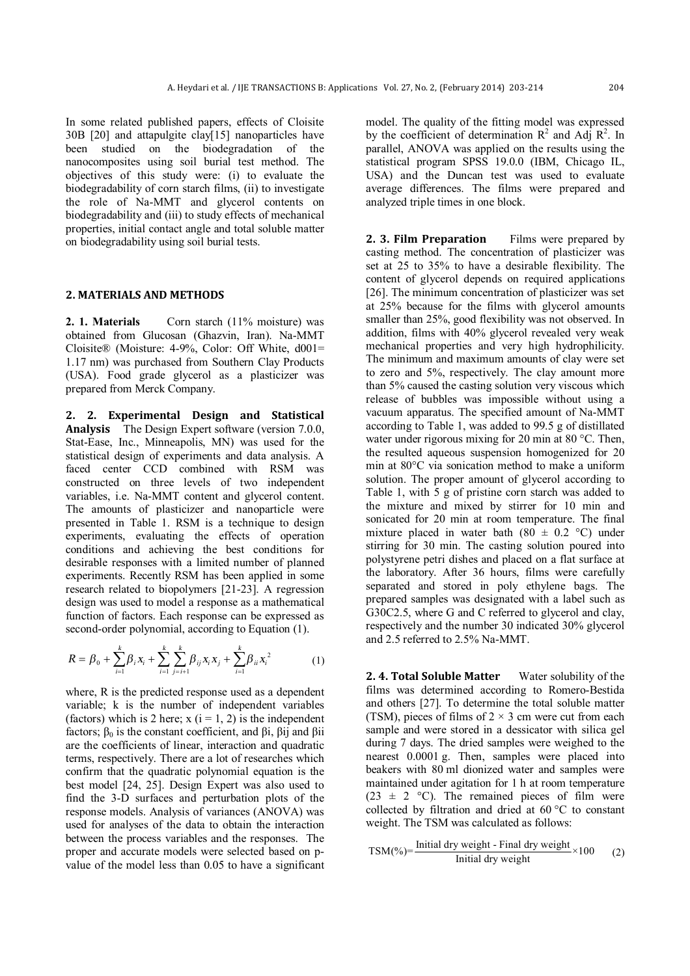In some related published papers, effects of Cloisite 30B [20] and attapulgite clay[15] nanoparticles have been studied on the biodegradation of the nanocomposites using soil burial test method. The objectives of this study were: (i) to evaluate the biodegradability of corn starch films, (ii) to investigate the role of Na-MMT and glycerol contents on biodegradability and (iii) to study effects of mechanical properties, initial contact angle and total soluble matter on biodegradability using soil burial tests.

#### **2. MATERIALS AND METHODS**

**2. 1. Materials** Corn starch (11% moisture) was obtained from Glucosan (Ghazvin, Iran). Na-MMT Cloisite® (Moisture: 4-9%, Color: Off White, d001= 1.17 nm) was purchased from Southern Clay Products (USA). Food grade glycerol as a plasticizer was prepared from Merck Company.

**2. 2. Experimental Design and Statistical Analysis** The Design Expert software (version 7.0.0, Stat-Ease, Inc., Minneapolis, MN) was used for the statistical design of experiments and data analysis. A faced center CCD combined with RSM was constructed on three levels of two independent variables, i.e. Na-MMT content and glycerol content. The amounts of plasticizer and nanoparticle were presented in Table 1. RSM is a technique to design experiments, evaluating the effects of operation conditions and achieving the best conditions for desirable responses with a limited number of planned experiments. Recently RSM has been applied in some research related to biopolymers [21-23]. A regression design was used to model a response as a mathematical function of factors. Each response can be expressed as second-order polynomial, according to Equation (1).

$$
R = \beta_0 + \sum_{i=1}^{k} \beta_i x_i + \sum_{i=1}^{k} \sum_{j=i+1}^{k} \beta_{ij} x_i x_j + \sum_{i=1}^{k} \beta_{ii} x_i^2
$$
 (1)

where, R is the predicted response used as a dependent variable; k is the number of independent variables (factors) which is 2 here;  $x(i = 1, 2)$  is the independent factors;  $\beta_0$  is the constant coefficient, and  $\beta$ i,  $\beta$ ij and  $\beta$ ii are the coefficients of linear, interaction and quadratic terms, respectively. There are a lot of researches which confirm that the quadratic polynomial equation is the best model [24, 25]. Design Expert was also used to find the 3-D surfaces and perturbation plots of the response models. Analysis of variances (ANOVA) was used for analyses of the data to obtain the interaction between the process variables and the responses. The proper and accurate models were selected based on pvalue of the model less than 0.05 to have a significant model. The quality of the fitting model was expressed by the coefficient of determination  $\mathbb{R}^2$  and Adj  $\mathbb{R}^2$ . In parallel, ANOVA was applied on the results using the statistical program SPSS 19.0.0 (IBM, Chicago IL, USA) and the Duncan test was used to evaluate average differences. The films were prepared and analyzed triple times in one block.

**2. 3. Film Preparation** Films were prepared by casting method. The concentration of plasticizer was set at 25 to 35% to have a desirable flexibility. The content of glycerol depends on required applications [26]. The minimum concentration of plasticizer was set at 25% because for the films with glycerol amounts smaller than 25%, good flexibility was not observed. In addition, films with 40% glycerol revealed very weak mechanical properties and very high hydrophilicity. The minimum and maximum amounts of clay were set to zero and 5%, respectively. The clay amount more than 5% caused the casting solution very viscous which release of bubbles was impossible without using a vacuum apparatus. The specified amount of Na-MMT according to Table 1, was added to 99.5 g of distillated water under rigorous mixing for 20 min at 80 °C. Then, the resulted aqueous suspension homogenized for 20 min at 80°C via sonication method to make a uniform solution. The proper amount of glycerol according to Table 1, with 5 g of pristine corn starch was added to the mixture and mixed by stirrer for 10 min and sonicated for 20 min at room temperature. The final mixture placed in water bath (80  $\pm$  0.2 °C) under stirring for 30 min. The casting solution poured into polystyrene petri dishes and placed on a flat surface at the laboratory. After 36 hours, films were carefully separated and stored in poly ethylene bags. The prepared samples was designated with a label such as G30C2.5, where G and C referred to glycerol and clay, respectively and the number 30 indicated 30% glycerol and 2.5 referred to 2.5% Na-MMT.

**2. 4. Total Soluble Matter** Water solubility of the films was determined according to Romero-Bestida and others [27]. To determine the total soluble matter (TSM), pieces of films of  $2 \times 3$  cm were cut from each sample and were stored in a dessicator with silica gel during 7 days. The dried samples were weighed to the nearest 0.0001 g. Then, samples were placed into beakers with 80 ml dionized water and samples were maintained under agitation for 1 h at room temperature  $(23 \pm 2 \degree C)$ . The remained pieces of film were collected by filtration and dried at 60 °C to constant weight. The TSM was calculated as follows:

$$
TSM(\%)=\frac{\text{Initial dry weight - Final dry weight}}{\text{Initial dry weight}} \times 100
$$
 (2)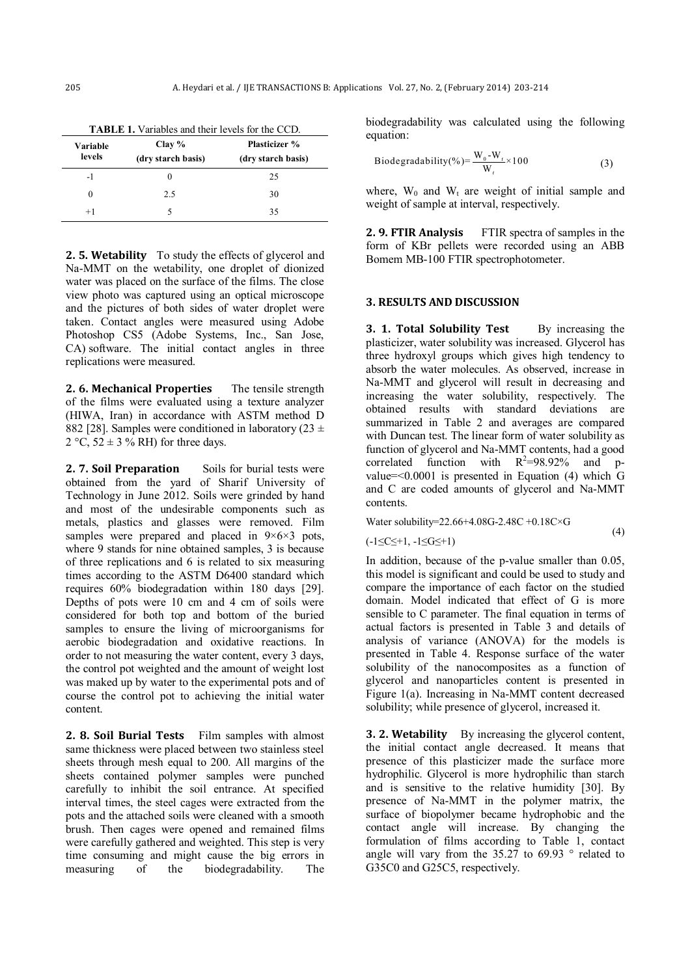| Variable<br>levels | Clay $%$<br>(dry starch basis) | <b>Plasticizer</b> %<br>(dry starch basis) |  |  |  |  |
|--------------------|--------------------------------|--------------------------------------------|--|--|--|--|
| $-1$               |                                | 25                                         |  |  |  |  |
|                    | 2.5                            | 30                                         |  |  |  |  |
| $+1$               |                                | 35                                         |  |  |  |  |

**2. 5. Wetability** To study the effects of glycerol and Na-MMT on the wetability, one droplet of dionized water was placed on the surface of the films. The close view photo was captured using an optical microscope and the pictures of both sides of water droplet were taken. Contact angles were measured using Adobe Photoshop CS5 (Adobe Systems, Inc., San Jose, CA) software. The initial contact angles in three replications were measured.

**2. 6. Mechanical Properties** The tensile strength of the films were evaluated using a texture analyzer (HIWA, Iran) in accordance with ASTM method D 882 [28]. Samples were conditioned in laboratory (23  $\pm$ 2 °C,  $52 \pm 3$  % RH) for three days.

**2. 7. Soil Preparation** Soils for burial tests were obtained from the yard of Sharif University of Technology in June 2012. Soils were grinded by hand and most of the undesirable components such as metals, plastics and glasses were removed. Film samples were prepared and placed in  $9 \times 6 \times 3$  pots, where 9 stands for nine obtained samples, 3 is because of three replications and 6 is related to six measuring times according to the ASTM D6400 standard which requires 60% biodegradation within 180 days [29]. Depths of pots were 10 cm and 4 cm of soils were considered for both top and bottom of the buried samples to ensure the living of microorganisms for aerobic biodegradation and oxidative reactions. In order to not measuring the water content, every 3 days, the control pot weighted and the amount of weight lost was maked up by water to the experimental pots and of course the control pot to achieving the initial water content.

**2. 8. Soil Burial Tests** Film samples with almost same thickness were placed between two stainless steel sheets through mesh equal to 200. All margins of the sheets contained polymer samples were punched carefully to inhibit the soil entrance. At specified interval times, the steel cages were extracted from the pots and the attached soils were cleaned with a smooth brush. Then cages were opened and remained films were carefully gathered and weighted. This step is very time consuming and might cause the big errors in measuring of the biodegradability. The

biodegradability was calculated using the following equation:

$$
\text{Biodegradability}(\%) = \frac{W_0 - W_t}{W_t} \times 100 \tag{3}
$$

where,  $W_0$  and  $W_t$  are weight of initial sample and weight of sample at interval, respectively.

**2. 9. FTIR Analysis** FTIR spectra of samples in the form of KBr pellets were recorded using an ABB Bomem MB-100 FTIR spectrophotometer.

#### **3. RESULTS AND DISCUSSION**

**3. 1. Total Solubility Test** By increasing the plasticizer, water solubility was increased. Glycerol has three hydroxyl groups which gives high tendency to absorb the water molecules. As observed, increase in Na-MMT and glycerol will result in decreasing and increasing the water solubility, respectively. The obtained results with standard deviations are summarized in Table 2 and averages are compared with Duncan test. The linear form of water solubility as function of glycerol and Na-MMT contents, had a good correlated function with  $R^2=98.92\%$  and pvalue=<0.0001 is presented in Equation (4) which G and C are coded amounts of glycerol and Na-MMT contents.

Water solubility=22.66+4.08G-2.48C +0.18C×G

$$
(-1 \leq C \leq +1, -1 \leq G \leq +1)
$$

In addition, because of the p-value smaller than 0.05, this model is significant and could be used to study and compare the importance of each factor on the studied domain. Model indicated that effect of G is more sensible to C parameter. The final equation in terms of actual factors is presented in Table 3 and details of analysis of variance (ANOVA) for the models is presented in Table 4. Response surface of the water solubility of the nanocomposites as a function of glycerol and nanoparticles content is presented in Figure 1(a). Increasing in Na-MMT content decreased solubility; while presence of glycerol, increased it.

(4)

**3. 2. Wetability** By increasing the glycerol content, the initial contact angle decreased. It means that presence of this plasticizer made the surface more hydrophilic. Glycerol is more hydrophilic than starch and is sensitive to the relative humidity [30]. By presence of Na-MMT in the polymer matrix, the surface of biopolymer became hydrophobic and the contact angle will increase. By changing the formulation of films according to Table 1, contact angle will vary from the  $35.27$  to  $69.93$  ° related to G35C0 and G25C5, respectively.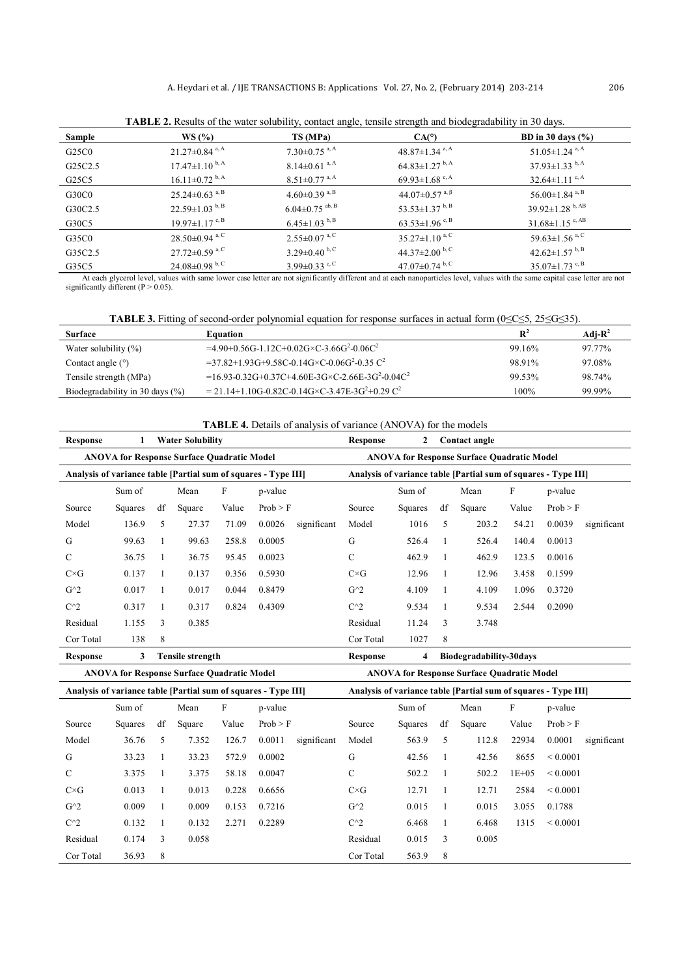| TADLE 2. Kesults of the water soluonity, contact angle, tensile strength and olouegradulity in 50 days. |                                  |                                 |                                                   |                                   |  |  |  |  |  |  |
|---------------------------------------------------------------------------------------------------------|----------------------------------|---------------------------------|---------------------------------------------------|-----------------------------------|--|--|--|--|--|--|
| Sample                                                                                                  | WS(%)                            | TS (MPa)                        | CA(°)                                             | BD in 30 days $(\% )$             |  |  |  |  |  |  |
| G25C0                                                                                                   | $21.27\pm0.84$ <sup>a, A</sup>   | $7.30\pm0.75$ <sup>a, A</sup>   | $48.87 \pm 1.34$ <sup>a, A</sup>                  | $51.05 \pm 1.24$ <sup>a, A</sup>  |  |  |  |  |  |  |
| G <sub>25</sub> C <sub>2.5</sub>                                                                        | $17.47 \pm 1.10^{b,A}$           | $8.14 \pm 0.61$ <sup>a, A</sup> | $64.83 \pm 1.27$ <sup>b, A</sup>                  | $37.93 \pm 1.33$ b, A             |  |  |  |  |  |  |
| G25C5                                                                                                   | $16.11 \pm 0.72$ b, A            | $8.51 \pm 0.77$ <sup>a, A</sup> | 69.93 $\pm$ 1.68 <sup>c, A</sup>                  | $32.64 \pm 1.11$ c, A             |  |  |  |  |  |  |
| G30C0                                                                                                   | $25.24 \pm 0.63$ <sup>a, B</sup> | $4.60\pm0.39$ a, B              | 44.07 $\pm$ 0.57 <sup>a, <math>\beta</math></sup> | $56.00 \pm 1.84$ <sup>a, B</sup>  |  |  |  |  |  |  |
| G30C2.5                                                                                                 | $22.59 \pm 1.03^{b, B}$          | $6.04 \pm 0.75$ ab, B           | 53.53 $\pm$ 1.37 <sup>b, B</sup>                  | $39.92 \pm 1.28$ b, AB            |  |  |  |  |  |  |
| G30C5                                                                                                   | $19.97 \pm 1.17$ <sup>c, B</sup> | $6.45 \pm 1.03$ b, B            | $63.53 \pm 1.96$ c, B                             | $31.68 \pm 1.15$ <sup>c, AB</sup> |  |  |  |  |  |  |
| G35C0                                                                                                   | $28.50\pm0.94$ <sup>a, C</sup>   | $2.55 \pm 0.07$ <sup>a, C</sup> | $35.27 \pm 1.10^{a,C}$                            | 59.63 $\pm$ 1.56 <sup>a, C</sup>  |  |  |  |  |  |  |
| G35C2.5                                                                                                 | $27.72 \pm 0.59$ <sup>a, C</sup> | $3.29 \pm 0.40^{b, C}$          | 44.37 $\pm$ 2.00 <sup>b, C</sup>                  | 42.62 $\pm$ 1.57 <sup>b, B</sup>  |  |  |  |  |  |  |
| G35C5                                                                                                   | $24.08 \pm 0.98$ b, C            | $3.99 \pm 0.33$ c, C            | 47.07 $\pm$ 0.74 $^{\rm b, C}$                    | $35.07 \pm 1.73$ <sup>c, B</sup>  |  |  |  |  |  |  |

**TABLE 2.** Results of the water solubility, contact angle, tensile strength and biodegradability in 30 days.

At each glycerol level, values with same lower case letter are not significantly different and at each nanoparticles level, values with the same capital case letter are not significantly different (P > 0.05).

**TABLE 3.** Fitting of second-order polynomial equation for response surfaces in actual form (0≤C≤5, 25≤G≤35).

| <b>Surface</b>                      | Equation                                                                       | $\mathbf{R}^2$ | Adi- $R^2$ |
|-------------------------------------|--------------------------------------------------------------------------------|----------------|------------|
| Water solubility $(\% )$            | $=4.90+0.56$ G-1.12C+0.02G×C-3.66G <sup>2</sup> -0.06C <sup>2</sup>            | 99.16%         | $97.77\%$  |
| Contact angle $(°)$                 | $=$ 37.82+1.93G+9.58C-0.14G $\times$ C-0.06G <sup>2</sup> -0.35 C <sup>2</sup> | 98.91%         | 97.08%     |
| Tensile strength (MPa)              | $=16.93 - 0.32$ G+0.37C+4.60E-3G×C-2.66E-3G <sup>2</sup> -0.04C <sup>2</sup>   | 99.53%         | 98.74%     |
| Biodegradability in 30 days $(\% )$ | $= 21.14 + 1.10$ G-0.82C-0.14G×C-3.47E-3G <sup>2</sup> +0.29 C <sup>2</sup>    | 100%           | 99.99%     |

**TABLE 4.** Details of analysis of variance (ANOVA) for the models

| Response                                                       |         |    | <b>Water Solubility</b> |       |          |                                                                | <b>Response</b>                                   | 2       |      | Contact angle           |         |          |             |
|----------------------------------------------------------------|---------|----|-------------------------|-------|----------|----------------------------------------------------------------|---------------------------------------------------|---------|------|-------------------------|---------|----------|-------------|
| <b>ANOVA for Response Surface Quadratic Model</b>              |         |    |                         |       |          |                                                                | <b>ANOVA for Response Surface Quadratic Model</b> |         |      |                         |         |          |             |
| Analysis of variance table [Partial sum of squares - Type III] |         |    |                         |       |          | Analysis of variance table [Partial sum of squares - Type III] |                                                   |         |      |                         |         |          |             |
| F<br>Sum of<br>Mean<br>p-value                                 |         |    |                         |       |          |                                                                | Sum of                                            |         | Mean | F                       | p-value |          |             |
| Source                                                         | Squares | df | Square                  | Value | Prob > F |                                                                | Source                                            | Squares | df   | Square                  | Value   | Prob > F |             |
| Model                                                          | 136.9   | 5  | 27.37                   | 71.09 | 0.0026   | significant                                                    | Model                                             | 1016    | 5    | 203.2                   | 54.21   | 0.0039   | significant |
| G                                                              | 99.63   |    | 99.63                   | 258.8 | 0.0005   |                                                                | G                                                 | 526.4   | 1    | 526.4                   | 140.4   | 0.0013   |             |
| C                                                              | 36.75   |    | 36.75                   | 95.45 | 0.0023   |                                                                | C                                                 | 462.9   | 1    | 462.9                   | 123.5   | 0.0016   |             |
| $C\times G$                                                    | 0.137   | -1 | 0.137                   | 0.356 | 0.5930   |                                                                | $C\times G$                                       | 12.96   | -1   | 12.96                   | 3.458   | 0.1599   |             |
| $G^{\wedge}2$                                                  | 0.017   |    | 0.017                   | 0.044 | 0.8479   |                                                                | $G^{\wedge}2$                                     | 4.109   | 1    | 4.109                   | 1.096   | 0.3720   |             |
| $C^{\wedge}2$                                                  | 0.317   |    | 0.317                   | 0.824 | 0.4309   |                                                                | $C^{\wedge}2$                                     | 9.534   |      | 9.534                   | 2.544   | 0.2090   |             |
| Residual                                                       | 1.155   | 3  | 0.385                   |       |          |                                                                | Residual                                          | 11.24   | 3    | 3.748                   |         |          |             |
| Cor Total                                                      | 138     | 8  |                         |       |          |                                                                | Cor Total                                         | 1027    | 8    |                         |         |          |             |
| <b>Response</b>                                                | 3       |    | <b>Tensile strength</b> |       |          |                                                                | <b>Response</b>                                   | 4       |      | Biodegradability-30days |         |          |             |

 **ANOVA for Response Surface Quadratic Model ANOVA for Response Surface Quadratic Model** 

| Analysis of variance table [Partial sum of squares - Type III] |         |    |        |       | Analysis of variance table [Partial sum of squares - Type III] |             |               |         |    |        |           |               |             |
|----------------------------------------------------------------|---------|----|--------|-------|----------------------------------------------------------------|-------------|---------------|---------|----|--------|-----------|---------------|-------------|
|                                                                | Sum of  |    | Mean   | F     | p-value                                                        |             |               | Sum of  |    | Mean   | F         | p-value       |             |
| Source                                                         | Squares | df | Square | Value | Prob > F                                                       |             | Source        | Squares | df | Square | Value     | Prob > F      |             |
| Model                                                          | 36.76   | 5  | 7.352  | 126.7 | 0.0011                                                         | significant | Model         | 563.9   | 5  | 112.8  | 22934     | 0.0001        | significant |
| G                                                              | 33.23   |    | 33.23  | 572.9 | 0.0002                                                         |             | G             | 42.56   |    | 42.56  | 8655      | ${}_{0.0001}$ |             |
| С                                                              | 3.375   |    | 3.375  | 58.18 | 0.0047                                                         |             | C             | 502.2   |    | 502.2  | $1E + 05$ | ${}_{0.0001}$ |             |
| $C\times G$                                                    | 0.013   |    | 0.013  | 0.228 | 0.6656                                                         |             | $C\times G$   | 12.71   |    | 12.71  | 2584      | ${}_{0.0001}$ |             |
| $G^{\wedge}2$                                                  | 0.009   |    | 0.009  | 0.153 | 0.7216                                                         |             | $G^{\wedge}2$ | 0.015   |    | 0.015  | 3.055     | 0.1788        |             |
| $C^{\wedge}2$                                                  | 0.132   |    | 0.132  | 2.271 | 0.2289                                                         |             | $C^{\wedge}2$ | 6.468   |    | 6.468  | 1315      | ${}_{0.0001}$ |             |
| Residual                                                       | 0.174   | 3  | 0.058  |       |                                                                |             | Residual      | 0.015   | 3  | 0.005  |           |               |             |
| Cor Total                                                      | 36.93   | 8  |        |       |                                                                |             | Cor Total     | 563.9   | 8  |        |           |               |             |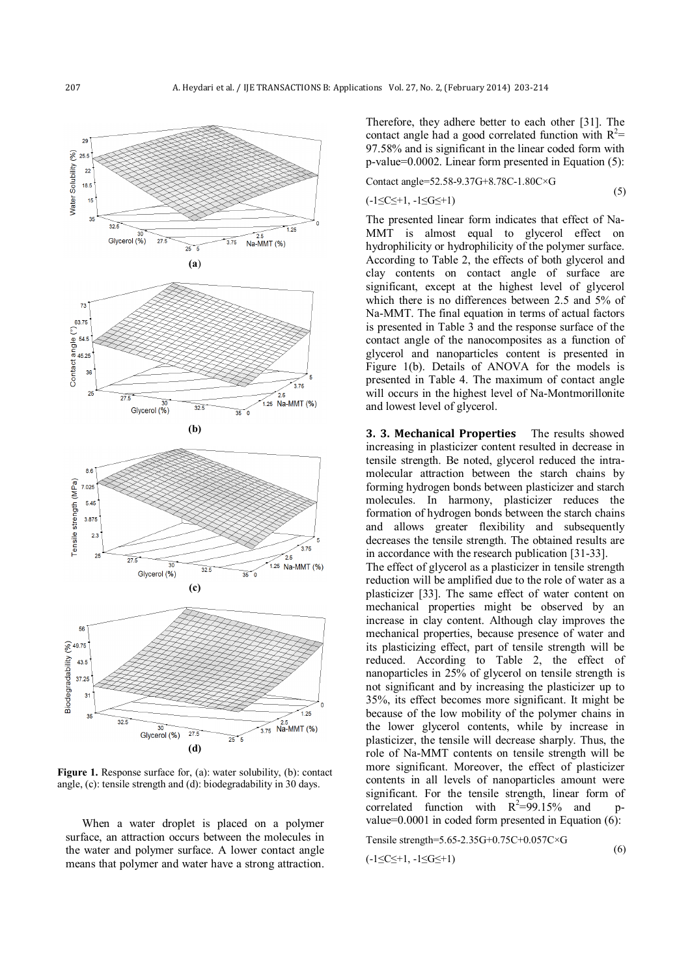

**Figure 1.** Response surface for, (a): water solubility, (b): contact angle, (c): tensile strength and (d): biodegradability in 30 days.

When a water droplet is placed on a polymer surface, an attraction occurs between the molecules in the water and polymer surface. A lower contact angle means that polymer and water have a strong attraction.

Therefore, they adhere better to each other [31]. The contact angle had a good correlated function with  $R^2$ = 97.58% and is significant in the linear coded form with p-value=0.0002. Linear form presented in Equation (5):

Contact angle=52.58-9.37G+8.78C-1.80C×G (5)

$$
(\text{-1} \leq C \leq \text{+1}, \text{-1} \leq G \leq \text{+1})
$$

The presented linear form indicates that effect of Na-MMT is almost equal to glycerol effect on hydrophilicity or hydrophilicity of the polymer surface. According to Table 2, the effects of both glycerol and clay contents on contact angle of surface are significant, except at the highest level of glycerol which there is no differences between 2.5 and 5% of Na-MMT. The final equation in terms of actual factors is presented in Table 3 and the response surface of the contact angle of the nanocomposites as a function of glycerol and nanoparticles content is presented in Figure 1(b). Details of ANOVA for the models is presented in Table 4. The maximum of contact angle will occurs in the highest level of Na-Montmorillonite and lowest level of glycerol.

**3. 3. Mechanical Properties** The results showed increasing in plasticizer content resulted in decrease in tensile strength. Be noted, glycerol reduced the intramolecular attraction between the starch chains by forming hydrogen bonds between plasticizer and starch molecules. In harmony, plasticizer reduces the formation of hydrogen bonds between the starch chains and allows greater flexibility and subsequently decreases the tensile strength. The obtained results are in accordance with the research publication [31-33].

The effect of glycerol as a plasticizer in tensile strength reduction will be amplified due to the role of water as a plasticizer [33]. The same effect of water content on mechanical properties might be observed by an increase in clay content. Although clay improves the mechanical properties, because presence of water and its plasticizing effect, part of tensile strength will be reduced. According to Table 2, the effect of nanoparticles in 25% of glycerol on tensile strength is not significant and by increasing the plasticizer up to 35%, its effect becomes more significant. It might be because of the low mobility of the polymer chains in the lower glycerol contents, while by increase in plasticizer, the tensile will decrease sharply. Thus, the role of Na-MMT contents on tensile strength will be more significant. Moreover, the effect of plasticizer contents in all levels of nanoparticles amount were significant. For the tensile strength, linear form of correlated function with  $R^2=99.15%$  and pvalue=0.0001 in coded form presented in Equation  $(6)$ :

Tensile strength=5.65-2.35G+0.75C+0.057C×G

$$
(-1 \leq C \leq +1, -1 \leq G \leq +1)
$$

$$
(6)
$$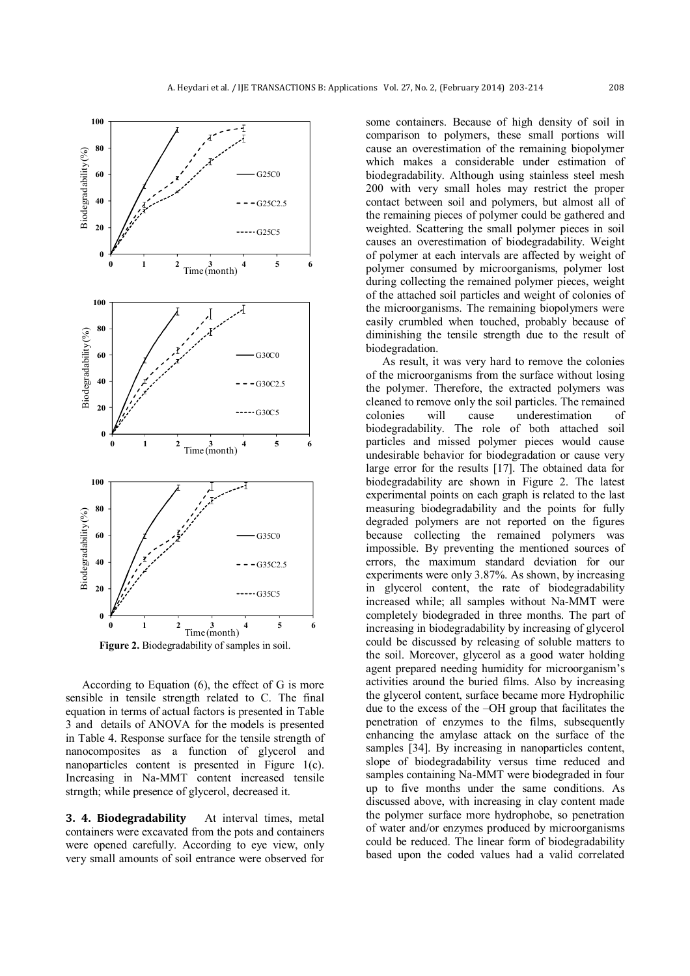

According to Equation (6), the effect of G is more sensible in tensile strength related to C. The final equation in terms of actual factors is presented in Table 3 and details of ANOVA for the models is presented in Table 4. Response surface for the tensile strength of nanocomposites as a function of glycerol and nanoparticles content is presented in Figure 1(c). Increasing in Na-MMT content increased tensile strngth; while presence of glycerol, decreased it.

**3. 4. Biodegradability** At interval times, metal containers were excavated from the pots and containers were opened carefully. According to eye view, only very small amounts of soil entrance were observed for

some containers. Because of high density of soil in comparison to polymers, these small portions will cause an overestimation of the remaining biopolymer which makes a considerable under estimation of biodegradability. Although using stainless steel mesh 200 with very small holes may restrict the proper contact between soil and polymers, but almost all of the remaining pieces of polymer could be gathered and weighted. Scattering the small polymer pieces in soil causes an overestimation of biodegradability. Weight of polymer at each intervals are affected by weight of polymer consumed by microorganisms, polymer lost during collecting the remained polymer pieces, weight of the attached soil particles and weight of colonies of the microorganisms. The remaining biopolymers were easily crumbled when touched, probably because of diminishing the tensile strength due to the result of biodegradation.

As result, it was very hard to remove the colonies of the microorganisms from the surface without losing the polymer. Therefore, the extracted polymers was cleaned to remove only the soil particles. The remained colonies will cause underestimation of biodegradability. The role of both attached soil particles and missed polymer pieces would cause undesirable behavior for biodegradation or cause very large error for the results [17]. The obtained data for biodegradability are shown in Figure 2. The latest experimental points on each graph is related to the last measuring biodegradability and the points for fully degraded polymers are not reported on the figures because collecting the remained polymers was impossible. By preventing the mentioned sources of errors, the maximum standard deviation for our experiments were only 3.87%. As shown, by increasing in glycerol content, the rate of biodegradability increased while; all samples without Na-MMT were completely biodegraded in three months. The part of increasing in biodegradability by increasing of glycerol could be discussed by releasing of soluble matters to the soil. Moreover, glycerol as a good water holding agent prepared needing humidity for microorganism's activities around the buried films. Also by increasing the glycerol content, surface became more Hydrophilic due to the excess of the –OH group that facilitates the penetration of enzymes to the films, subsequently enhancing the amylase attack on the surface of the samples [34]. By increasing in nanoparticles content, slope of biodegradability versus time reduced and samples containing Na-MMT were biodegraded in four up to five months under the same conditions. As discussed above, with increasing in clay content made the polymer surface more hydrophobe, so penetration of water and/or enzymes produced by microorganisms could be reduced. The linear form of biodegradability based upon the coded values had a valid correlated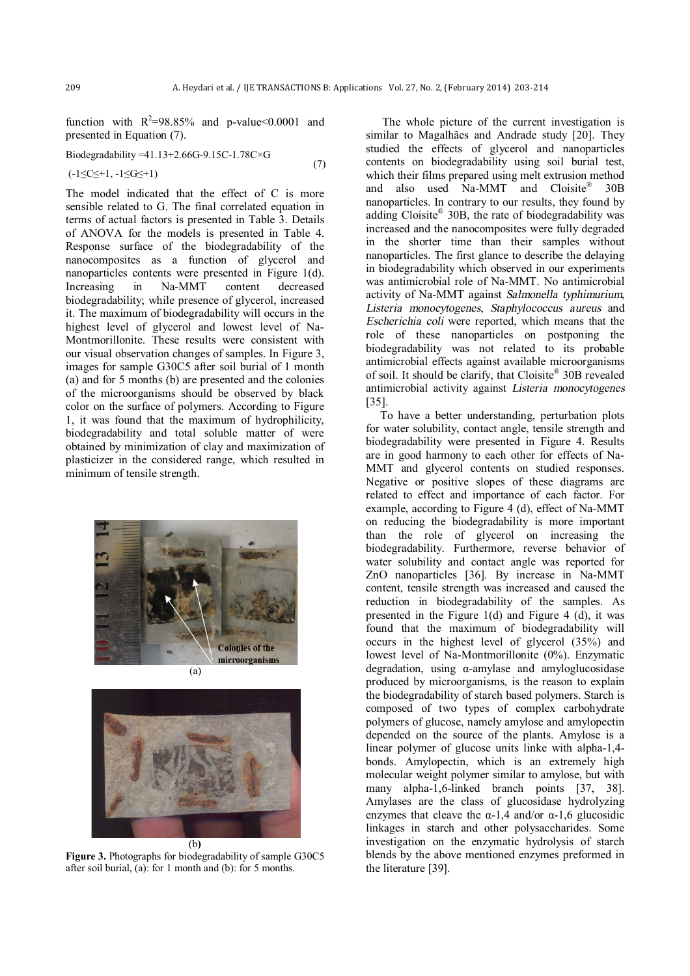function with  $R^2=98.85\%$  and p-value < 0.0001 and presented in Equation (7).

Biodegradability = 
$$
41.13+2.66G-9.15C-1.78C\times G
$$
   
(-1 $C<1$ -1 $C<1$ -1 (7)

The model indicated that the effect of C is more sensible related to G. The final correlated equation in terms of actual factors is presented in Table 3. Details of ANOVA for the models is presented in Table 4. Response surface of the biodegradability of the nanocomposites as a function of glycerol and nanoparticles contents were presented in Figure 1(d). Increasing in Na-MMT content decreased biodegradability; while presence of glycerol, increased it. The maximum of biodegradability will occurs in the highest level of glycerol and lowest level of Na-Montmorillonite. These results were consistent with our visual observation changes of samples. In Figure 3, images for sample G30C5 after soil burial of 1 month (a) and for 5 months (b) are presented and the colonies of the microorganisms should be observed by black color on the surface of polymers. According to Figure 1, it was found that the maximum of hydrophilicity, biodegradability and total soluble matter of were obtained by minimization of clay and maximization of plasticizer in the considered range, which resulted in minimum of tensile strength.





**Figure 3.** Photographs for biodegradability of sample G30C5 after soil burial, (a): for 1 month and (b): for 5 months.

The whole picture of the current investigation is similar to Magalhães and Andrade study [20]. They studied the effects of glycerol and nanoparticles contents on biodegradability using soil burial test, which their films prepared using melt extrusion method and also used Na-MMT and Cloisite® 30B nanoparticles. In contrary to our results, they found by adding Cloisite® 30B, the rate of biodegradability was increased and the nanocomposites were fully degraded in the shorter time than their samples without nanoparticles. The first glance to describe the delaying in biodegradability which observed in our experiments was antimicrobial role of Na-MMT. No antimicrobial activity of Na-MMT against *Salmonella typhimurium*, *Listeria monocytogenes*, *Staphylococcus aureus* and *Escherichia coli* were reported, which means that the role of these nanoparticles on postponing the biodegradability was not related to its probable antimicrobial effects against available microorganisms of soil. It should be clarify, that Cloisite® 30B revealed antimicrobial activity against *Listeria monocytogenes*  [35].

 To have a better understanding, perturbation plots for water solubility, contact angle, tensile strength and biodegradability were presented in Figure 4. Results are in good harmony to each other for effects of Na-MMT and glycerol contents on studied responses. Negative or positive slopes of these diagrams are related to effect and importance of each factor. For example, according to Figure 4 (d), effect of Na-MMT on reducing the biodegradability is more important than the role of glycerol on increasing the biodegradability. Furthermore, reverse behavior of water solubility and contact angle was reported for ZnO nanoparticles [36]. By increase in Na-MMT content, tensile strength was increased and caused the reduction in biodegradability of the samples. As presented in the Figure 1(d) and Figure 4 (d), it was found that the maximum of biodegradability will occurs in the highest level of glycerol (35%) and lowest level of Na-Montmorillonite (0%). Enzymatic degradation, using α-amylase and amyloglucosidase produced by microorganisms, is the reason to explain the biodegradability of starch based polymers. Starch is composed of two types of complex carbohydrate polymers of glucose, namely amylose and amylopectin depended on the source of the plants. Amylose is a linear polymer of glucose units linke with alpha-1,4 bonds. Amylopectin, which is an extremely high molecular weight polymer similar to amylose, but with many alpha-1,6-linked branch points [37, 38]. Amylases are the class of glucosidase hydrolyzing enzymes that cleave the  $\alpha$ -1,4 and/or  $\alpha$ -1,6 glucosidic linkages in starch and other polysaccharides. Some investigation on the enzymatic hydrolysis of starch blends by the above mentioned enzymes preformed in the literature [39].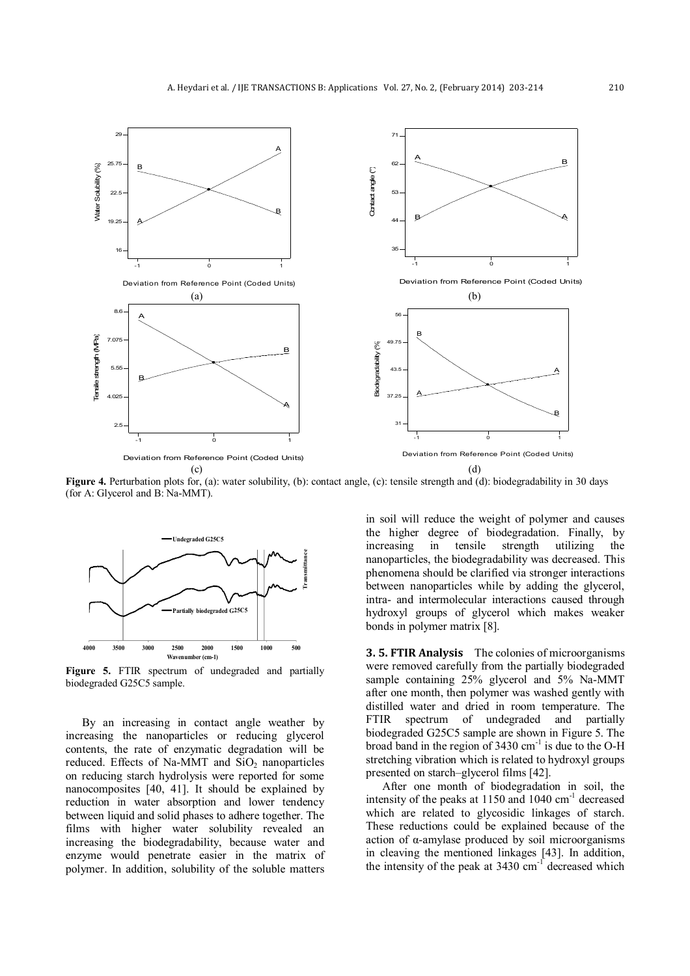

**Figure 4.** Perturbation plots for, (a): water solubility, (b): contact angle, (c): tensile strength and (d): biodegradability in 30 days (for A: Glycerol and B: Na-MMT).



**Figure 5.** FTIR spectrum of undegraded and partially biodegraded G25C5 sample.

By an increasing in contact angle weather by increasing the nanoparticles or reducing glycerol contents, the rate of enzymatic degradation will be reduced. Effects of Na-MMT and  $SiO<sub>2</sub>$  nanoparticles on reducing starch hydrolysis were reported for some nanocomposites [40, 41]. It should be explained by reduction in water absorption and lower tendency between liquid and solid phases to adhere together. The films with higher water solubility revealed an increasing the biodegradability, because water and enzyme would penetrate easier in the matrix of polymer. In addition, solubility of the soluble matters in soil will reduce the weight of polymer and causes the higher degree of biodegradation. Finally, by increasing in tensile strength utilizing the nanoparticles, the biodegradability was decreased. This phenomena should be clarified via stronger interactions between nanoparticles while by adding the glycerol, intra- and intermolecular interactions caused through hydroxyl groups of glycerol which makes weaker bonds in polymer matrix [8].

**3. 5. FTIR Analysis** The colonies of microorganisms were removed carefully from the partially biodegraded sample containing 25% glycerol and 5% Na-MMT after one month, then polymer was washed gently with distilled water and dried in room temperature. The FTIR spectrum of undegraded and partially biodegraded G25C5 sample are shown in Figure 5. The broad band in the region of  $3430 \text{ cm}^{-1}$  is due to the O-H stretching vibration which is related to hydroxyl groups presented on starch–glycerol films [42].

After one month of biodegradation in soil, the intensity of the peaks at  $1150$  and  $1040$  cm<sup>-1</sup> decreased which are related to glycosidic linkages of starch. These reductions could be explained because of the action of α-amylase produced by soil microorganisms in cleaving the mentioned linkages [43]. In addition, the intensity of the peak at  $3430 \text{ cm}^{-1}$  decreased which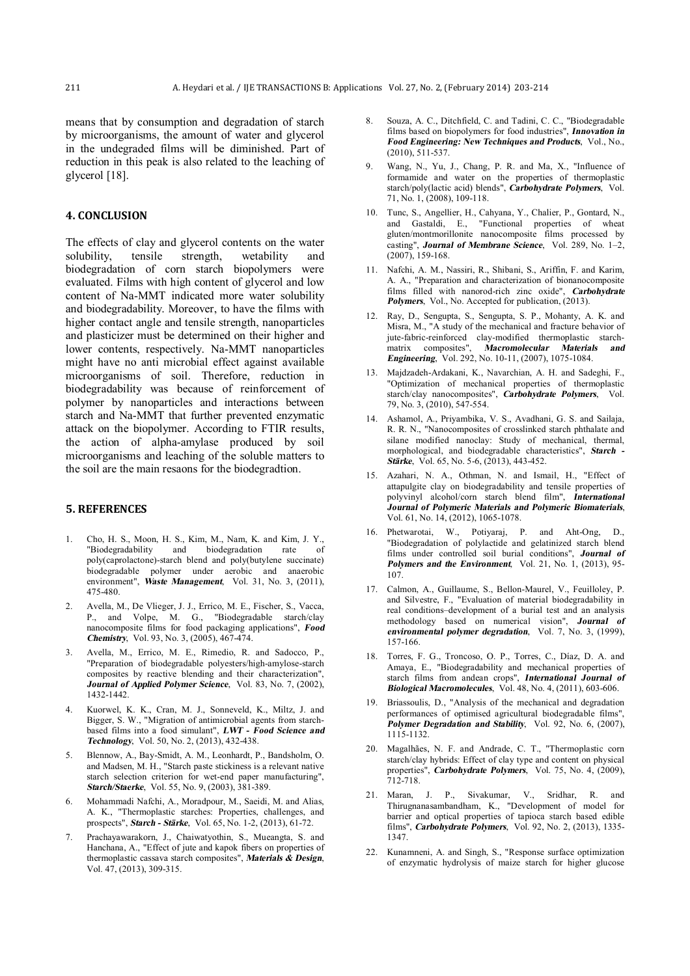means that by consumption and degradation of starch by microorganisms, the amount of water and glycerol in the undegraded films will be diminished. Part of reduction in this peak is also related to the leaching of glycerol [18].

### **4. CONCLUSION**

The effects of clay and glycerol contents on the water solubility, tensile strength, wetability and biodegradation of corn starch biopolymers were evaluated. Films with high content of glycerol and low content of Na-MMT indicated more water solubility and biodegradability. Moreover, to have the films with higher contact angle and tensile strength, nanoparticles and plasticizer must be determined on their higher and lower contents, respectively. Na-MMT nanoparticles might have no anti microbial effect against available microorganisms of soil. Therefore, reduction in biodegradability was because of reinforcement of polymer by nanoparticles and interactions between starch and Na-MMT that further prevented enzymatic attack on the biopolymer. According to FTIR results, the action of alpha-amylase produced by soil microorganisms and leaching of the soluble matters to the soil are the main resaons for the biodegradtion.

#### **5. REFERENCES**

- 1. Cho, H. S., Moon, H. S., Kim, M., Nam, K. and Kim, J. Y., "Biodegradability and biodegradation rate of poly(caprolactone)-starch blend and poly(butylene succinate) biodegradable polymer under aerobic and anaerobic environment", *Waste Management*, Vol. 31, No. 3, (2011), 475-480.
- 2. Avella, M., De Vlieger, J. J., Errico, M. E., Fischer, S., Vacca, P., and Volpe, M. G., "Biodegradable starch/clay nanocomposite films for food packaging applications", *Food Chemistry*, Vol. 93, No. 3, (2005), 467-474.
- 3. Avella, M., Errico, M. E., Rimedio, R. and Sadocco, P., "Preparation of biodegradable polyesters/high-amylose-starch composites by reactive blending and their characterization", *Journal of Applied Polymer Science*, Vol. 83, No. 7, (2002), 1432-1442.
- 4. Kuorwel, K. K., Cran, M. J., Sonneveld, K., Miltz, J. and Bigger, S. W., "Migration of antimicrobial agents from starchbased films into a food simulant", *LWT - Food Science and Technology*, Vol. 50, No. 2, (2013), 432-438.
- 5. Blennow, A., Bay-Smidt, A. M., Leonhardt, P., Bandsholm, O. and Madsen, M. H., "Starch paste stickiness is a relevant native starch selection criterion for wet-end paper manufacturing", *Starch/Staerke*, Vol. 55, No. 9, (2003), 381-389.
- 6. Mohammadi Nafchi, A., Moradpour, M., Saeidi, M. and Alias, A. K., "Thermoplastic starches: Properties, challenges, and prospects", *Starch - Stärke*, Vol. 65, No. 1-2, (2013), 61-72.
- 7. Prachayawarakorn, J., Chaiwatyothin, S., Mueangta, S. and Hanchana, A., "Effect of jute and kapok fibers on properties of thermoplastic cassava starch composites", *Materials & Design*, Vol. 47, (2013), 309-315.
- 8. Souza, A. C., Ditchfield, C. and Tadini, C. C., "Biodegradable films based on biopolymers for food industries", *Innovation in Food Engineering: New Techniques and Products*, Vol., No., (2010), 511-537.
- Wang, N., Yu, J., Chang, P. R. and Ma, X., "Influence of formamide and water on the properties of thermoplastic starch/poly(lactic acid) blends", *Carbohydrate Polymers*, Vol. 71, No. 1, (2008), 109-118.
- 10. Tunc, S., Angellier, H., Cahyana, Y., Chalier, P., Gontard, N., and Gastaldi, E., "Functional properties of wheat gluten/montmorillonite nanocomposite films processed by casting", *Journal of Membrane Science*, Vol. 289, No. 1–2, (2007), 159-168.
- 11. Nafchi, A. M., Nassiri, R., Shibani, S., Ariffin, F. and Karim, A. A., "Preparation and characterization of bionanocomposite films filled with nanorod-rich zinc oxide", *Carbohydrate Polymers*, Vol., No. Accepted for publication, (2013).
- 12. Ray, D., Sengupta, S., Sengupta, S. P., Mohanty, A. K. and Misra, M., "A study of the mechanical and fracture behavior of jute-fabric-reinforced clay-modified thermoplastic starchmatrix composites", *Macromolecular Materials and Engineering*, Vol. 292, No. 10-11, (2007), 1075-1084.
- 13. Majdzadeh-Ardakani, K., Navarchian, A. H. and Sadeghi, F., "Optimization of mechanical properties of thermoplastic starch/clay nanocomposites", *Carbohydrate Polymers*, Vol. 79, No. 3, (2010), 547-554.
- 14. Ashamol, A., Priyambika, V. S., Avadhani, G. S. and Sailaja, R. R. N., "Nanocomposites of crosslinked starch phthalate and silane modified nanoclay: Study of mechanical, thermal, morphological, and biodegradable characteristics", *Starch - Stärke*, Vol. 65, No. 5-6, (2013), 443-452.
- 15. Azahari, N. A., Othman, N. and Ismail, H., "Effect of attapulgite clay on biodegradability and tensile properties of polyvinyl alcohol/corn starch blend film", *International Journal of Polymeric Materials and Polymeric Biomaterials*, Vol. 61, No. 14, (2012), 1065-1078.
- 16. Phetwarotai, W., Potiyaraj, P. and Aht-Ong, D., "Biodegradation of polylactide and gelatinized starch blend films under controlled soil burial conditions", *Journal of Polymers and the Environment*, Vol. 21, No. 1, (2013), 95- 107.
- 17. Calmon, A., Guillaume, S., Bellon-Maurel, V., Feuilloley, P. and Silvestre, F., "Evaluation of material biodegradability in real conditions–development of a burial test and an analysis methodology based on numerical vision", *Journal of environmental polymer degradation*, Vol. 7, No. 3, (1999), 157-166.
- 18. Torres, F. G., Troncoso, O. P., Torres, C., Díaz, D. A. and Amaya, E., "Biodegradability and mechanical properties of starch films from andean crops", *International Journal of Biological Macromolecules*, Vol. 48, No. 4, (2011), 603-606.
- 19. Briassoulis, D., "Analysis of the mechanical and degradation performances of optimised agricultural biodegradable films", *Polymer Degradation and Stability*, Vol. 92, No. 6, (2007), 1115-1132.
- 20. Magalhães, N. F. and Andrade, C. T., "Thermoplastic corn starch/clay hybrids: Effect of clay type and content on physical properties", *Carbohydrate Polymers*, Vol. 75, No. 4, (2009), 712-718.
- 21. Maran, J. P., Sivakumar, V., Sridhar, R. and Thirugnanasambandham, K., "Development of model for barrier and optical properties of tapioca starch based edible films", *Carbohydrate Polymers*, Vol. 92, No. 2, (2013), 1335- 1347.
- 22. Kunamneni, A. and Singh, S., "Response surface optimization of enzymatic hydrolysis of maize starch for higher glucose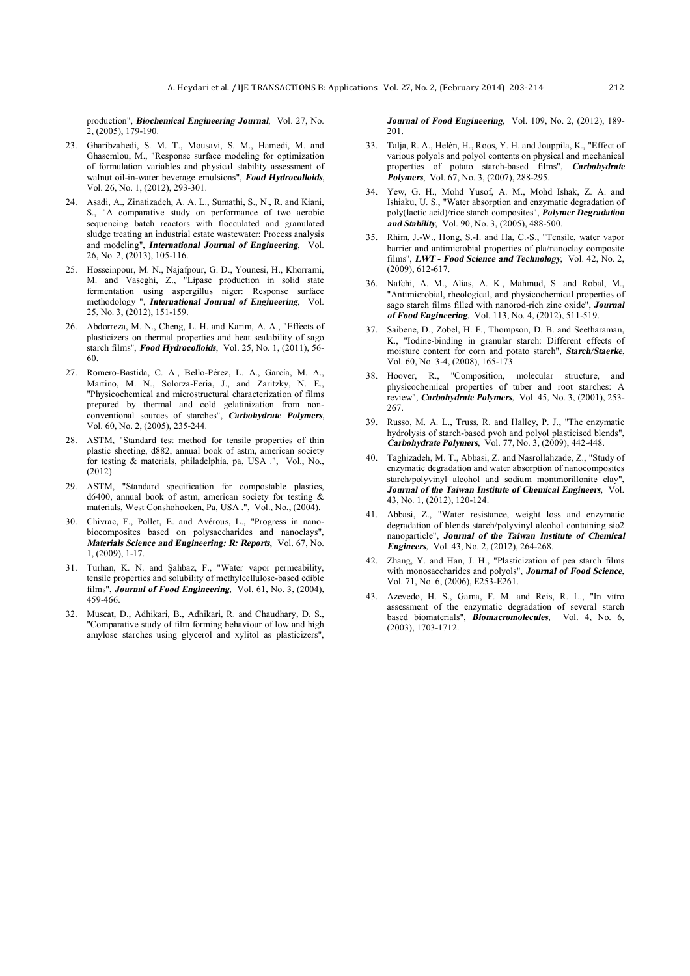production", *Biochemical Engineering Journal*, Vol. 27, No.  $2, (2005), 179-190.$ 

- 23. Gharibzahedi, S. M. T., Mousavi, S. M., Hamedi, M. and Ghasemlou, M., "Response surface modeling for optimization of formulation variables and physical stability assessment of walnut oil-in-water beverage emulsions", *Food Hydrocolloids*, Vol. 26, No. 1, (2012), 293-301.
- 24. Asadi, A., Zinatizadeh, A. A. L., Sumathi, S., N., R. and Kiani, S., "A comparative study on performance of two aerobic sequencing batch reactors with flocculated and granulated sludge treating an industrial estate wastewater: Process analysis and modeling", *International Journal of Engineering*, Vol. 26, No. 2, (2013), 105-116.
- 25. Hosseinpour, M. N., Najafpour, G. D., Younesi, H., Khorrami, M. and Vaseghi, Z., "Lipase production in solid state fermentation using aspergillus niger: Response surface methodology ", *International Journal of Engineering*, Vol. 25, No. 3, (2012), 151-159.
- 26. Abdorreza, M. N., Cheng, L. H. and Karim, A. A., "Effects of plasticizers on thermal properties and heat sealability of sago starch films", *Food Hydrocolloids*, Vol. 25, No. 1, (2011), 56- 60.
- 27. Romero-Bastida, C. A., Bello-Pérez, L. A., García, M. A., Martino, M. N., Solorza-Feria, J., and Zaritzky, N. E., "Physicochemical and microstructural characterization of films prepared by thermal and cold gelatinization from nonconventional sources of starches", *Carbohydrate Polymers*, Vol. 60, No. 2, (2005), 235-244.
- 28. ASTM, "Standard test method for tensile properties of thin plastic sheeting, d882, annual book of astm, american society for testing & materials, philadelphia, pa, USA .", Vol., No., (2012).
- 29. ASTM, "Standard specification for compostable plastics, d6400, annual book of astm, american society for testing & materials, West Conshohocken, Pa, USA .", Vol., No., (2004).
- 30. Chivrac, F., Pollet, E. and Avérous, L., "Progress in nanobiocomposites based on polysaccharides and nanoclays", *Materials Science and Engineering: R: Reports*, Vol. 67, No. 1, (2009), 1-17.
- 31. Turhan, K. N. and Şahbaz, F., "Water vapor permeability, tensile properties and solubility of methylcellulose-based edible films", *Journal of Food Engineering*, Vol. 61, No. 3, (2004), 459-466.
- 32. Muscat, D., Adhikari, B., Adhikari, R. and Chaudhary, D. S., "Comparative study of film forming behaviour of low and high amylose starches using glycerol and xylitol as plasticizers",

*Journal of Food Engineering*, Vol. 109, No. 2, (2012), 189- 201.

- 33. Talja, R. A., Helén, H., Roos, Y. H. and Jouppila, K., "Effect of various polyols and polyol contents on physical and mechanical properties of potato starch-based films", *Carbohydrate Polymers*, Vol. 67, No. 3, (2007), 288-295.
- 34. Yew, G. H., Mohd Yusof, A. M., Mohd Ishak, Z. A. and Ishiaku, U. S., "Water absorption and enzymatic degradation of poly(lactic acid)/rice starch composites", *Polymer Degradation and Stability*, Vol. 90, No. 3, (2005), 488-500.
- 35. Rhim, J.-W., Hong, S.-I. and Ha, C.-S., "Tensile, water vapor barrier and antimicrobial properties of pla/nanoclay composite films", *LWT - Food Science and Technology*, Vol. 42, No. 2, (2009), 612-617.
- 36. Nafchi, A. M., Alias, A. K., Mahmud, S. and Robal, M., "Antimicrobial, rheological, and physicochemical properties of sago starch films filled with nanorod-rich zinc oxide", *Journal of Food Engineering*, Vol. 113, No. 4, (2012), 511-519.
- 37. Saibene, D., Zobel, H. F., Thompson, D. B. and Seetharaman, K., "Iodine-binding in granular starch: Different effects of moisture content for corn and potato starch", *Starch/Staerke*, Vol. 60, No. 3-4, (2008), 165-173.
- 38. Hoover, R., "Composition, molecular structure, and physicochemical properties of tuber and root starches: A review", *Carbohydrate Polymers*, Vol. 45, No. 3, (2001), 253- 267.
- 39. Russo, M. A. L., Truss, R. and Halley, P. J., "The enzymatic hydrolysis of starch-based pvoh and polyol plasticised blends", *Carbohydrate Polymers*, Vol. 77, No. 3, (2009), 442-448.
- 40. Taghizadeh, M. T., Abbasi, Z. and Nasrollahzade, Z., "Study of enzymatic degradation and water absorption of nanocomposites starch/polyvinyl alcohol and sodium montmorillonite clav". *Journal of the Taiwan Institute of Chemical Engineers*, Vol. 43, No. 1, (2012), 120-124.
- 41. Abbasi, Z., "Water resistance, weight loss and enzymatic degradation of blends starch/polyvinyl alcohol containing sio2 nanoparticle", *Journal of the Taiwan Institute of Chemical Engineers*, Vol. 43, No. 2, (2012), 264-268.
- 42. Zhang, Y. and Han, J. H., "Plasticization of pea starch films with monosaccharides and polyols", *Journal of Food Science*, Vol. 71, No. 6, (2006), E253-E261.
- 43. Azevedo, H. S., Gama, F. M. and Reis, R. L., "In vitro assessment of the enzymatic degradation of several starch based biomaterials", *Biomacromolecules*, Vol. 4, No. 6, (2003), 1703-1712.